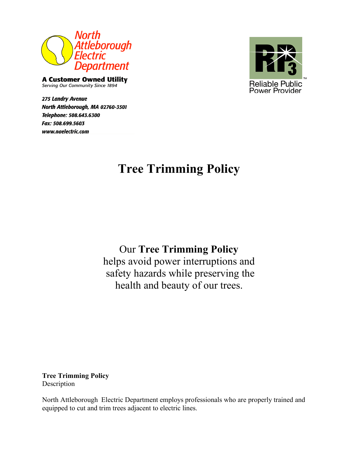

**A Customer Owned Utility** Serving Our Community Since 1894

**275 Landry Avenue** North Attleborough, MA 02760-3501 Telephone: 508.643.6300 Fax: 508.699.5603 www.naelectric.com



# **Tree Trimming Policy**

Our **Tree Trimming Policy**

helps avoid power interruptions and safety hazards while preserving the health and beauty of our trees.

**Tree Trimming Policy** Description

North Attleborough Electric Department employs professionals who are properly trained and equipped to cut and trim trees adjacent to electric lines.